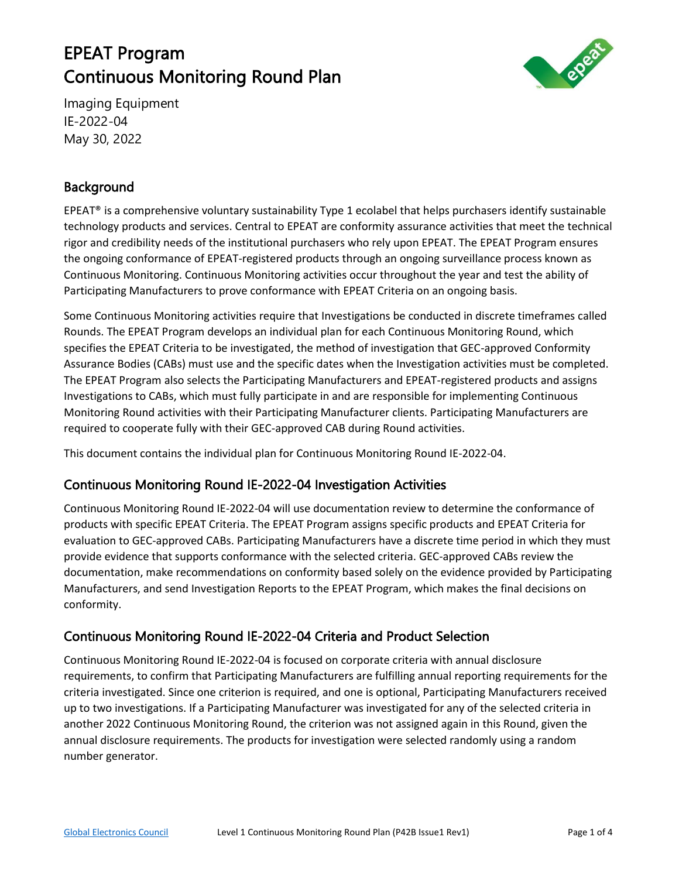# EPEAT Program Continuous Monitoring Round Plan



Imaging Equipment IE-2022-04 May 30, 2022

## Background

EPEAT<sup>®</sup> is a comprehensive voluntary sustainability Type 1 ecolabel that helps purchasers identify sustainable technology products and services. Central to EPEAT are conformity assurance activities that meet the technical rigor and credibility needs of the institutional purchasers who rely upon EPEAT. The EPEAT Program ensures the ongoing conformance of EPEAT-registered products through an ongoing surveillance process known as Continuous Monitoring. Continuous Monitoring activities occur throughout the year and test the ability of Participating Manufacturers to prove conformance with EPEAT Criteria on an ongoing basis.

Some Continuous Monitoring activities require that Investigations be conducted in discrete timeframes called Rounds. The EPEAT Program develops an individual plan for each Continuous Monitoring Round, which specifies the EPEAT Criteria to be investigated, the method of investigation that GEC-approved Conformity Assurance Bodies (CABs) must use and the specific dates when the Investigation activities must be completed. The EPEAT Program also selects the Participating Manufacturers and EPEAT-registered products and assigns Investigations to CABs, which must fully participate in and are responsible for implementing Continuous Monitoring Round activities with their Participating Manufacturer clients. Participating Manufacturers are required to cooperate fully with their GEC-approved CAB during Round activities.

This document contains the individual plan for Continuous Monitoring Round IE-2022-04.

## Continuous Monitoring Round IE-2022-04 Investigation Activities

Continuous Monitoring Round IE-2022-04 will use documentation review to determine the conformance of products with specific EPEAT Criteria. The EPEAT Program assigns specific products and EPEAT Criteria for evaluation to GEC-approved CABs. Participating Manufacturers have a discrete time period in which they must provide evidence that supports conformance with the selected criteria. GEC-approved CABs review the documentation, make recommendations on conformity based solely on the evidence provided by Participating Manufacturers, and send Investigation Reports to the EPEAT Program, which makes the final decisions on conformity.

## Continuous Monitoring Round IE-2022-04 Criteria and Product Selection

Continuous Monitoring Round IE-2022-04 is focused on corporate criteria with annual disclosure requirements, to confirm that Participating Manufacturers are fulfilling annual reporting requirements for the criteria investigated. Since one criterion is required, and one is optional, Participating Manufacturers received up to two investigations. If a Participating Manufacturer was investigated for any of the selected criteria in another 2022 Continuous Monitoring Round, the criterion was not assigned again in this Round, given the annual disclosure requirements. The products for investigation were selected randomly using a random number generator.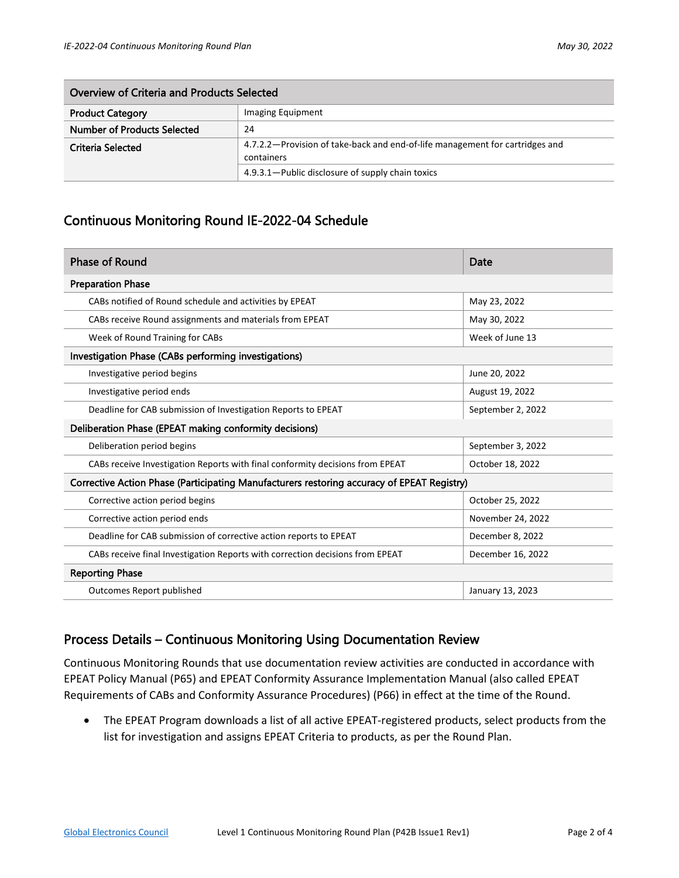| Overview of Criteria and Products Selected |                                                                                              |  |  |  |  |
|--------------------------------------------|----------------------------------------------------------------------------------------------|--|--|--|--|
| <b>Product Category</b>                    | Imaging Equipment                                                                            |  |  |  |  |
| Number of Products Selected                | 24                                                                                           |  |  |  |  |
| Criteria Selected                          | 4.7.2.2 – Provision of take-back and end-of-life management for cartridges and<br>containers |  |  |  |  |
|                                            | 4.9.3.1 – Public disclosure of supply chain toxics                                           |  |  |  |  |

#### Continuous Monitoring Round IE-2022-04 Schedule

| <b>Phase of Round</b>                                                                      | Date              |  |  |  |  |  |
|--------------------------------------------------------------------------------------------|-------------------|--|--|--|--|--|
| <b>Preparation Phase</b>                                                                   |                   |  |  |  |  |  |
| CABs notified of Round schedule and activities by EPEAT                                    | May 23, 2022      |  |  |  |  |  |
| CABs receive Round assignments and materials from EPEAT                                    | May 30, 2022      |  |  |  |  |  |
| Week of Round Training for CABs                                                            | Week of June 13   |  |  |  |  |  |
| Investigation Phase (CABs performing investigations)                                       |                   |  |  |  |  |  |
| Investigative period begins                                                                | June 20, 2022     |  |  |  |  |  |
| Investigative period ends                                                                  | August 19, 2022   |  |  |  |  |  |
| Deadline for CAB submission of Investigation Reports to EPEAT                              | September 2, 2022 |  |  |  |  |  |
| Deliberation Phase (EPEAT making conformity decisions)                                     |                   |  |  |  |  |  |
| Deliberation period begins                                                                 | September 3, 2022 |  |  |  |  |  |
| CABs receive Investigation Reports with final conformity decisions from EPEAT              | October 18, 2022  |  |  |  |  |  |
| Corrective Action Phase (Participating Manufacturers restoring accuracy of EPEAT Registry) |                   |  |  |  |  |  |
| Corrective action period begins                                                            | October 25, 2022  |  |  |  |  |  |
| Corrective action period ends                                                              | November 24, 2022 |  |  |  |  |  |
| Deadline for CAB submission of corrective action reports to EPEAT                          | December 8, 2022  |  |  |  |  |  |
| CABs receive final Investigation Reports with correction decisions from EPEAT              | December 16, 2022 |  |  |  |  |  |
| <b>Reporting Phase</b>                                                                     |                   |  |  |  |  |  |
| Outcomes Report published                                                                  | January 13, 2023  |  |  |  |  |  |

#### Process Details – Continuous Monitoring Using Documentation Review

Continuous Monitoring Rounds that use documentation review activities are conducted in accordance with EPEAT Policy Manual (P65) and EPEAT Conformity Assurance Implementation Manual (also called EPEAT Requirements of CABs and Conformity Assurance Procedures) (P66) in effect at the time of the Round.

• The EPEAT Program downloads a list of all active EPEAT-registered products, select products from the list for investigation and assigns EPEAT Criteria to products, as per the Round Plan.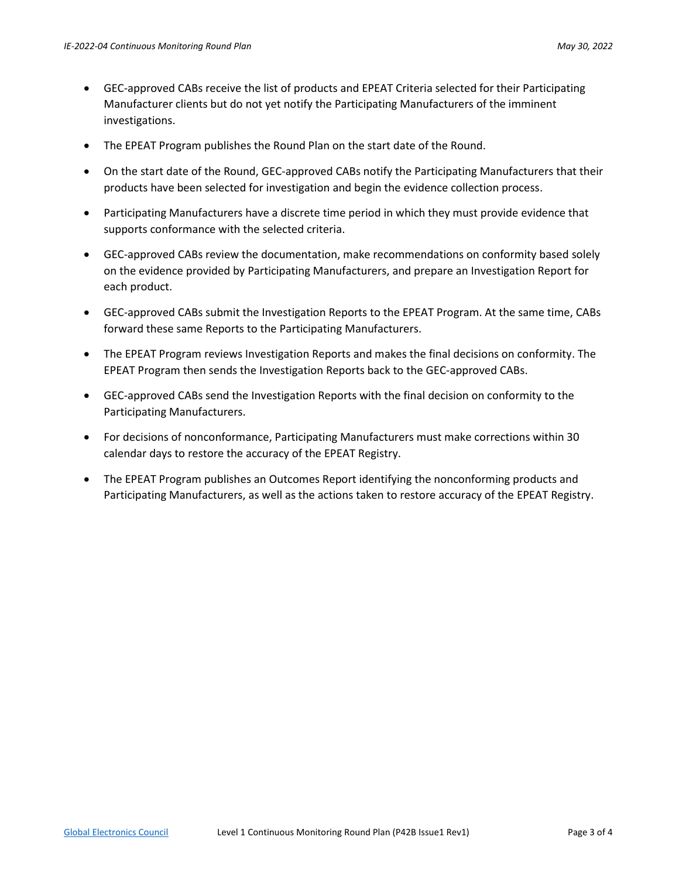- GEC-approved CABs receive the list of products and EPEAT Criteria selected for their Participating Manufacturer clients but do not yet notify the Participating Manufacturers of the imminent investigations.
- The EPEAT Program publishes the Round Plan on the start date of the Round.
- On the start date of the Round, GEC-approved CABs notify the Participating Manufacturers that their products have been selected for investigation and begin the evidence collection process.
- Participating Manufacturers have a discrete time period in which they must provide evidence that supports conformance with the selected criteria.
- GEC-approved CABs review the documentation, make recommendations on conformity based solely on the evidence provided by Participating Manufacturers, and prepare an Investigation Report for each product.
- GEC-approved CABs submit the Investigation Reports to the EPEAT Program. At the same time, CABs forward these same Reports to the Participating Manufacturers.
- The EPEAT Program reviews Investigation Reports and makes the final decisions on conformity. The EPEAT Program then sends the Investigation Reports back to the GEC-approved CABs.
- GEC-approved CABs send the Investigation Reports with the final decision on conformity to the Participating Manufacturers.
- For decisions of nonconformance, Participating Manufacturers must make corrections within 30 calendar days to restore the accuracy of the EPEAT Registry.
- The EPEAT Program publishes an Outcomes Report identifying the nonconforming products and Participating Manufacturers, as well as the actions taken to restore accuracy of the EPEAT Registry.